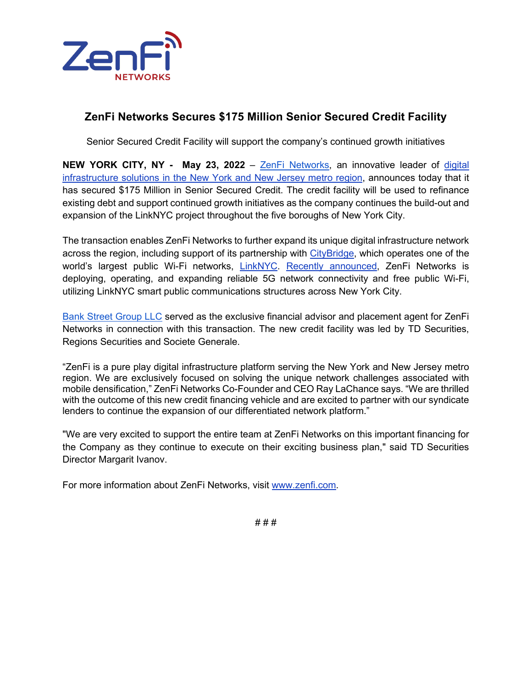

## **ZenFi Networks Secures \$175 Million Senior Secured Credit Facility**

Senior Secured Credit Facility will support the company's continued growth initiatives

**NEW YORK CITY, NY - May 23, 2022** – [ZenFi Networks,](https://zenfi.com/?utm_source=referral&utm_medium=content&utm_campaign=2022_pressrelease_BankStreet_LineofCredit) an innovative leader o[f](https://zenfi.com/wireless-connectivity/?utm_source=referral&utm_medium=content&utm_campaign=2022_pressrelease_BankStreet_LineofCredit) digital [infrastructure solutions in the New York and New Jersey metro region,](https://zenfi.com/wireless-connectivity/?utm_source=referral&utm_medium=content&utm_campaign=2022_pressrelease_BankStreet_LineofCredit) announces today that it has secured \$175 Million in Senior Secured Credit. The credit facility will be used to refinance existing debt and support continued growth initiatives as the company continues the build-out and expansion of the LinkNYC project throughout the five boroughs of New York City.

The transaction enables ZenFi Networks to further expand its unique digital infrastructure network across t[h](https://www.link.nyc/)e region, including support of its partnership with [CityBridge,](https://www.link.nyc/) which operates one of the world's largest public Wi-Fi networks[,](https://www.link.nyc/) [LinkNYC.](https://www.link.nyc/) [Recently announced,](https://www.businesswire.com/news/home/20220509005009/en/ZenFi-Networks-Celebrates-Expansion-Plans-for-LinkNYC) ZenFi Networks is deploying, operating, and expanding reliable 5G network connectivity and free public Wi-Fi, utilizing LinkNYC smart public communications structures across New York City.

[Bank Street Group LLC](https://www.bankstreet.com/) served as the exclusive financial advisor and placement agent for ZenFi Networks in connection with this transaction. The new credit facility was led by TD Securities, Regions Securities and Societe Generale.

"ZenFi is a pure play digital infrastructure platform serving the New York and New Jersey metro region. We are exclusively focused on solving the unique network challenges associated with mobile densification," ZenFi Networks Co-Founder and CEO Ray LaChance says. "We are thrilled with the outcome of this new credit financing vehicle and are excited to partner with our syndicate lenders to continue the expansion of our differentiated network platform."

"We are very excited to support the entire team at ZenFi Networks on this important financing for the Company as they continue to execute on their exciting business plan," said TD Securities Director Margarit Ivanov.

For more information about ZenFi Networks, visit [www.zenfi.com.](http://zenfi.com/?utm_source=referral&utm_medium=content&utm_campaign=2022_pressrelease_BankStreet_LineofCredit)

# # #